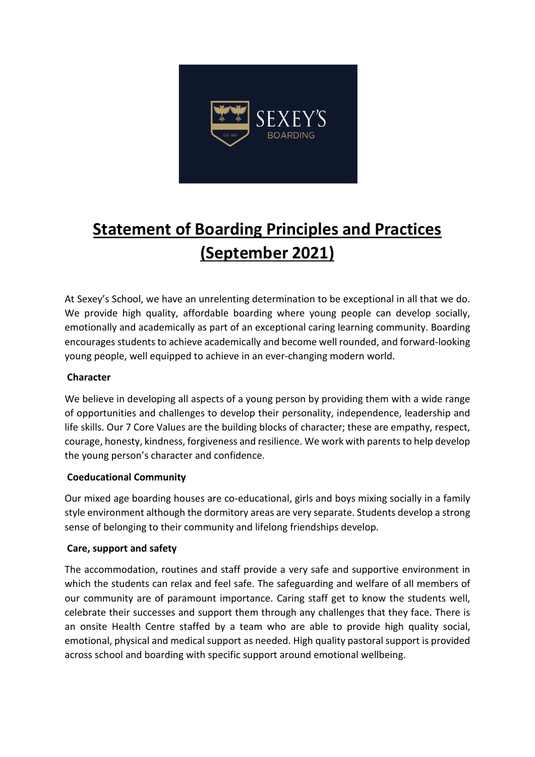

# **Statement of Boarding Principles and Practices (September 2021)**

At Sexey's School, we have an unrelenting determination to be exceptional in all that we do. We provide high quality, affordable boarding where young people can develop socially, emotionally and academically as part of an exceptional caring learning community. Boarding encourages students to achieve academically and become well rounded, and forward-looking young people, well equipped to achieve in an ever-changing modern world.

## **Character**

We believe in developing all aspects of a young person by providing them with a wide range of opportunities and challenges to develop their personality, independence, leadership and life skills. Our 7 Core Values are the building blocks of character; these are empathy, respect, courage, honesty, kindness, forgiveness and resilience. We work with parents to help develop the young person's character and confidence.

## **Coeducational Community**

Our mixed age boarding houses are co-educational, girls and boys mixing socially in a family style environment although the dormitory areas are very separate. Students develop a strong sense of belonging to their community and lifelong friendships develop.

## **Care, support and safety**

The accommodation, routines and staff provide a very safe and supportive environment in which the students can relax and feel safe. The safeguarding and welfare of all members of our community are of paramount importance. Caring staff get to know the students well, celebrate their successes and support them through any challenges that they face. There is an onsite Health Centre staffed by a team who are able to provide high quality social, emotional, physical and medical support as needed. High quality pastoral support is provided across school and boarding with specific support around emotional wellbeing.